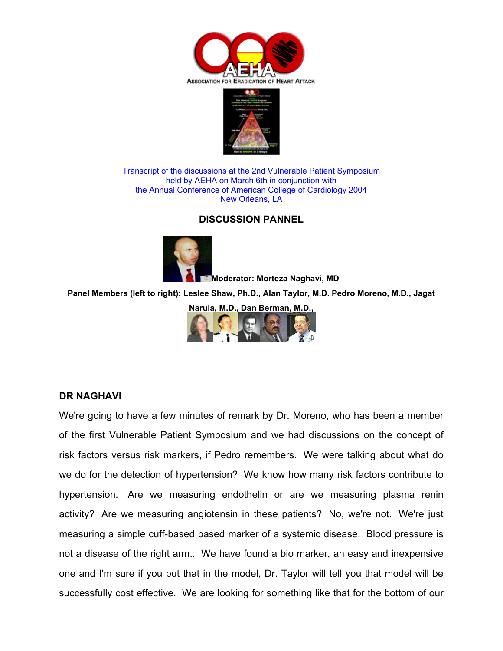



Transcript of the discussions at the 2nd Vulnerable Patient Symposium held by AEHA on March 6th in conjunction with the Annual Conference of American College of Cardiology 2004 New Orleans, LA

# **DISCUSSION PANNEL**



**Moderator: Morteza Naghavi, MD**

**Panel Members (left to right): Leslee Shaw, Ph.D., Alan Taylor, M.D. Pedro Moreno, M.D., Jagat** 

**Narula, M.D., Dan Berman, M.D.,** 



#### **DR NAGHAVI**

We're going to have a few minutes of remark by Dr. Moreno, who has been a member of the first Vulnerable Patient Symposium and we had discussions on the concept of risk factors versus risk markers, if Pedro remembers. We were talking about what do we do for the detection of hypertension? We know how many risk factors contribute to hypertension. Are we measuring endothelin or are we measuring plasma renin activity? Are we measuring angiotensin in these patients? No, we're not. We're just measuring a simple cuff-based based marker of a systemic disease. Blood pressure is not a disease of the right arm.. We have found a bio marker, an easy and inexpensive one and I'm sure if you put that in the model, Dr. Taylor will tell you that model will be successfully cost effective. We are looking for something like that for the bottom of our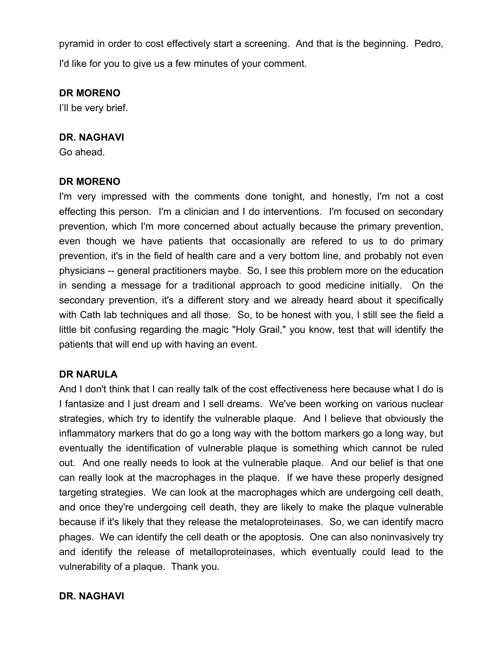pyramid in order to cost effectively start a screening. And that is the beginning. Pedro, I'd like for you to give us a few minutes of your comment.

#### **DR MORENO**

I'll be very brief.

#### **DR. NAGHAVI**

Go ahead.

## **DR MORENO**

I'm very impressed with the comments done tonight, and honestly, I'm not a cost effecting this person. I'm a clinician and I do interventions. I'm focused on secondary prevention, which I'm more concerned about actually because the primary prevention, even though we have patients that occasionally are refered to us to do primary prevention, it's in the field of health care and a very bottom line, and probably not even physicians -- general practitioners maybe. So, I see this problem more on the education in sending a message for a traditional approach to good medicine initially. On the secondary prevention, it's a different story and we already heard about it specifically with Cath lab techniques and all those. So, to be honest with you, I still see the field a little bit confusing regarding the magic "Holy Grail," you know, test that will identify the patients that will end up with having an event.

## **DR NARULA**

And I don't think that I can really talk of the cost effectiveness here because what I do is I fantasize and I just dream and I sell dreams. We've been working on various nuclear strategies, which try to identify the vulnerable plaque. And I believe that obviously the inflammatory markers that do go a long way with the bottom markers go a long way, but eventually the identification of vulnerable plaque is something which cannot be ruled out. And one really needs to look at the vulnerable plaque. And our belief is that one can really look at the macrophages in the plaque. If we have these properly designed targeting strategies. We can look at the macrophages which are undergoing cell death, and once they're undergoing cell death, they are likely to make the plaque vulnerable because if it's likely that they release the metaloproteinases. So, we can identify macro phages. We can identify the cell death or the apoptosis. One can also noninvasively try and identify the release of metalloproteinases, which eventually could lead to the vulnerability of a plaque. Thank you.

## **DR. NAGHAVI**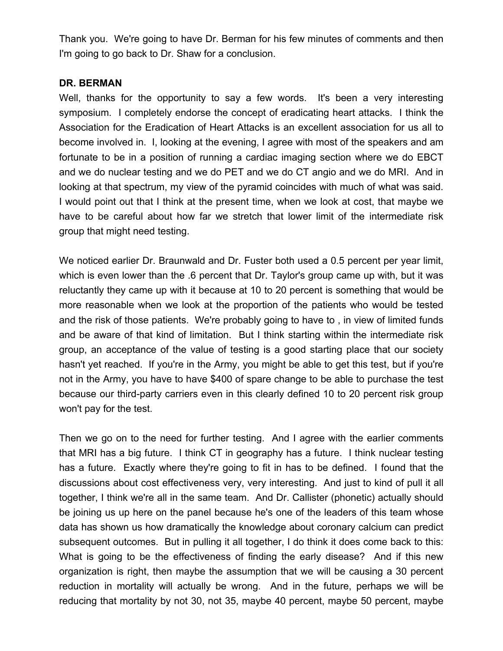Thank you. We're going to have Dr. Berman for his few minutes of comments and then I'm going to go back to Dr. Shaw for a conclusion.

## **DR. BERMAN**

Well, thanks for the opportunity to say a few words. It's been a very interesting symposium. I completely endorse the concept of eradicating heart attacks. I think the Association for the Eradication of Heart Attacks is an excellent association for us all to become involved in. I, looking at the evening, I agree with most of the speakers and am fortunate to be in a position of running a cardiac imaging section where we do EBCT and we do nuclear testing and we do PET and we do CT angio and we do MRI. And in looking at that spectrum, my view of the pyramid coincides with much of what was said. I would point out that I think at the present time, when we look at cost, that maybe we have to be careful about how far we stretch that lower limit of the intermediate risk group that might need testing.

We noticed earlier Dr. Braunwald and Dr. Fuster both used a 0.5 percent per year limit, which is even lower than the .6 percent that Dr. Taylor's group came up with, but it was reluctantly they came up with it because at 10 to 20 percent is something that would be more reasonable when we look at the proportion of the patients who would be tested and the risk of those patients. We're probably going to have to , in view of limited funds and be aware of that kind of limitation. But I think starting within the intermediate risk group, an acceptance of the value of testing is a good starting place that our society hasn't yet reached. If you're in the Army, you might be able to get this test, but if you're not in the Army, you have to have \$400 of spare change to be able to purchase the test because our third-party carriers even in this clearly defined 10 to 20 percent risk group won't pay for the test.

Then we go on to the need for further testing. And I agree with the earlier comments that MRI has a big future. I think CT in geography has a future. I think nuclear testing has a future. Exactly where they're going to fit in has to be defined. I found that the discussions about cost effectiveness very, very interesting. And just to kind of pull it all together, I think we're all in the same team. And Dr. Callister (phonetic) actually should be joining us up here on the panel because he's one of the leaders of this team whose data has shown us how dramatically the knowledge about coronary calcium can predict subsequent outcomes. But in pulling it all together, I do think it does come back to this: What is going to be the effectiveness of finding the early disease? And if this new organization is right, then maybe the assumption that we will be causing a 30 percent reduction in mortality will actually be wrong. And in the future, perhaps we will be reducing that mortality by not 30, not 35, maybe 40 percent, maybe 50 percent, maybe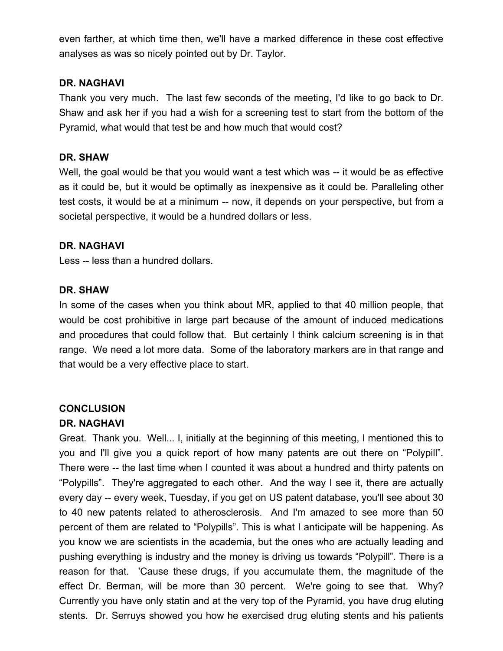even farther, at which time then, we'll have a marked difference in these cost effective analyses as was so nicely pointed out by Dr. Taylor.

# **DR. NAGHAVI**

Thank you very much. The last few seconds of the meeting, I'd like to go back to Dr. Shaw and ask her if you had a wish for a screening test to start from the bottom of the Pyramid, what would that test be and how much that would cost?

# **DR. SHAW**

Well, the goal would be that you would want a test which was -- it would be as effective as it could be, but it would be optimally as inexpensive as it could be. Paralleling other test costs, it would be at a minimum -- now, it depends on your perspective, but from a societal perspective, it would be a hundred dollars or less.

# **DR. NAGHAVI**

Less -- less than a hundred dollars.

# **DR. SHAW**

In some of the cases when you think about MR, applied to that 40 million people, that would be cost prohibitive in large part because of the amount of induced medications and procedures that could follow that. But certainly I think calcium screening is in that range. We need a lot more data. Some of the laboratory markers are in that range and that would be a very effective place to start.

# **CONCLUSION**

# **DR. NAGHAVI**

Great. Thank you. Well... I, initially at the beginning of this meeting, I mentioned this to you and I'll give you a quick report of how many patents are out there on "Polypill". There were -- the last time when I counted it was about a hundred and thirty patents on "Polypills". They're aggregated to each other. And the way I see it, there are actually every day -- every week, Tuesday, if you get on US patent database, you'll see about 30 to 40 new patents related to atherosclerosis. And I'm amazed to see more than 50 percent of them are related to "Polypills". This is what I anticipate will be happening. As you know we are scientists in the academia, but the ones who are actually leading and pushing everything is industry and the money is driving us towards "Polypill". There is a reason for that. 'Cause these drugs, if you accumulate them, the magnitude of the effect Dr. Berman, will be more than 30 percent. We're going to see that. Why? Currently you have only statin and at the very top of the Pyramid, you have drug eluting stents. Dr. Serruys showed you how he exercised drug eluting stents and his patients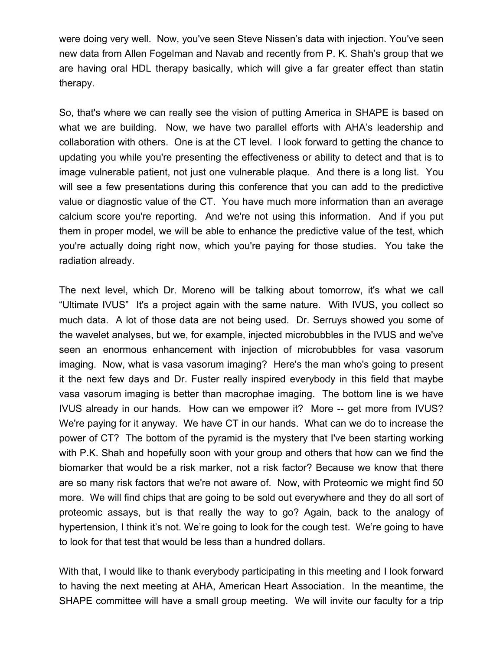were doing very well. Now, you've seen Steve Nissen's data with injection. You've seen new data from Allen Fogelman and Navab and recently from P. K. Shah's group that we are having oral HDL therapy basically, which will give a far greater effect than statin therapy.

So, that's where we can really see the vision of putting America in SHAPE is based on what we are building. Now, we have two parallel efforts with AHA's leadership and collaboration with others. One is at the CT level. I look forward to getting the chance to updating you while you're presenting the effectiveness or ability to detect and that is to image vulnerable patient, not just one vulnerable plaque. And there is a long list. You will see a few presentations during this conference that you can add to the predictive value or diagnostic value of the CT. You have much more information than an average calcium score you're reporting. And we're not using this information. And if you put them in proper model, we will be able to enhance the predictive value of the test, which you're actually doing right now, which you're paying for those studies. You take the radiation already.

The next level, which Dr. Moreno will be talking about tomorrow, it's what we call "Ultimate IVUS" It's a project again with the same nature. With IVUS, you collect so much data. A lot of those data are not being used. Dr. Serruys showed you some of the wavelet analyses, but we, for example, injected microbubbles in the IVUS and we've seen an enormous enhancement with injection of microbubbles for vasa vasorum imaging. Now, what is vasa vasorum imaging? Here's the man who's going to present it the next few days and Dr. Fuster really inspired everybody in this field that maybe vasa vasorum imaging is better than macrophae imaging. The bottom line is we have IVUS already in our hands. How can we empower it? More -- get more from IVUS? We're paying for it anyway. We have CT in our hands. What can we do to increase the power of CT? The bottom of the pyramid is the mystery that I've been starting working with P.K. Shah and hopefully soon with your group and others that how can we find the biomarker that would be a risk marker, not a risk factor? Because we know that there are so many risk factors that we're not aware of. Now, with Proteomic we might find 50 more. We will find chips that are going to be sold out everywhere and they do all sort of proteomic assays, but is that really the way to go? Again, back to the analogy of hypertension, I think it's not. We're going to look for the cough test. We're going to have to look for that test that would be less than a hundred dollars.

With that, I would like to thank everybody participating in this meeting and I look forward to having the next meeting at AHA, American Heart Association. In the meantime, the SHAPE committee will have a small group meeting. We will invite our faculty for a trip